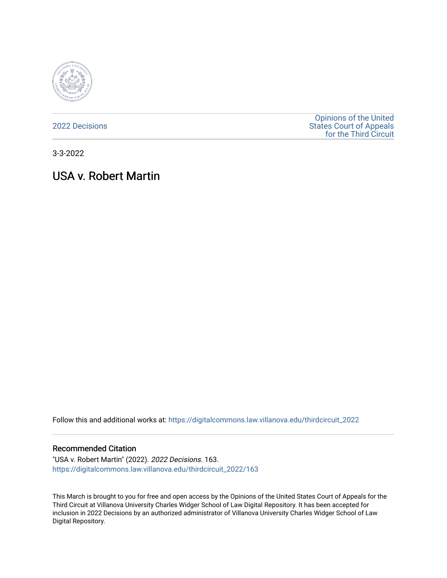

[2022 Decisions](https://digitalcommons.law.villanova.edu/thirdcircuit_2022)

[Opinions of the United](https://digitalcommons.law.villanova.edu/thirdcircuit)  [States Court of Appeals](https://digitalcommons.law.villanova.edu/thirdcircuit)  [for the Third Circuit](https://digitalcommons.law.villanova.edu/thirdcircuit) 

3-3-2022

# USA v. Robert Martin

Follow this and additional works at: [https://digitalcommons.law.villanova.edu/thirdcircuit\\_2022](https://digitalcommons.law.villanova.edu/thirdcircuit_2022?utm_source=digitalcommons.law.villanova.edu%2Fthirdcircuit_2022%2F163&utm_medium=PDF&utm_campaign=PDFCoverPages) 

#### Recommended Citation

"USA v. Robert Martin" (2022). 2022 Decisions. 163. [https://digitalcommons.law.villanova.edu/thirdcircuit\\_2022/163](https://digitalcommons.law.villanova.edu/thirdcircuit_2022/163?utm_source=digitalcommons.law.villanova.edu%2Fthirdcircuit_2022%2F163&utm_medium=PDF&utm_campaign=PDFCoverPages)

This March is brought to you for free and open access by the Opinions of the United States Court of Appeals for the Third Circuit at Villanova University Charles Widger School of Law Digital Repository. It has been accepted for inclusion in 2022 Decisions by an authorized administrator of Villanova University Charles Widger School of Law Digital Repository.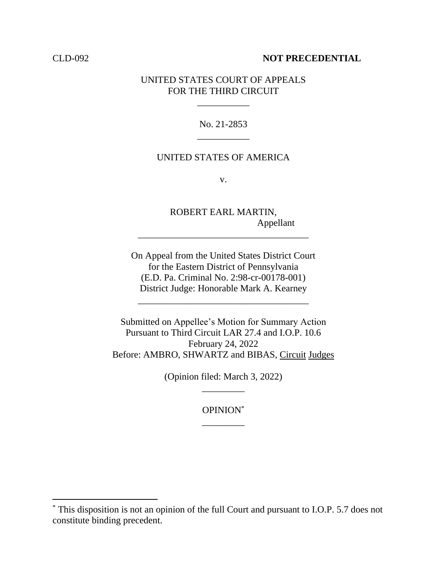### CLD-092 **NOT PRECEDENTIAL**

## UNITED STATES COURT OF APPEALS FOR THE THIRD CIRCUIT

\_\_\_\_\_\_\_\_\_\_\_

# No. 21-2853 \_\_\_\_\_\_\_\_\_\_\_

## UNITED STATES OF AMERICA

v.

ROBERT EARL MARTIN, Appellant

On Appeal from the United States District Court for the Eastern District of Pennsylvania (E.D. Pa. Criminal No. 2:98-cr-00178-001) District Judge: Honorable Mark A. Kearney

\_\_\_\_\_\_\_\_\_\_\_\_\_\_\_\_\_\_\_\_\_\_\_\_\_\_\_\_\_\_\_\_\_\_\_\_

\_\_\_\_\_\_\_\_\_\_\_\_\_\_\_\_\_\_\_\_\_\_\_\_\_\_\_\_\_\_\_\_\_\_\_\_

Submitted on Appellee's Motion for Summary Action Pursuant to Third Circuit LAR 27.4 and I.O.P. 10.6 February 24, 2022 Before: AMBRO, SHWARTZ and BIBAS, Circuit Judges

> (Opinion filed: March 3, 2022) \_\_\_\_\_\_\_\_\_

> > OPINION\* \_\_\_\_\_\_\_\_\_

<sup>\*</sup> This disposition is not an opinion of the full Court and pursuant to I.O.P. 5.7 does not constitute binding precedent.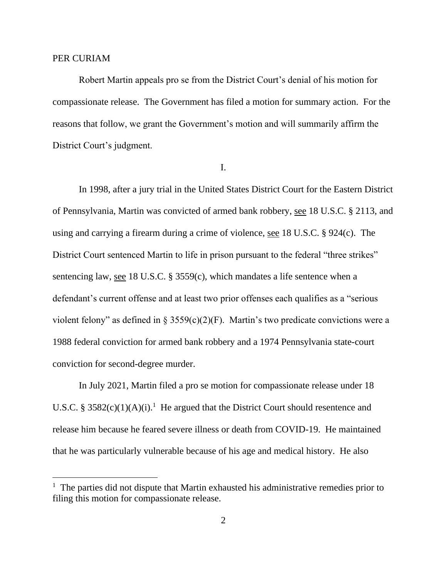### PER CURIAM

Robert Martin appeals pro se from the District Court's denial of his motion for compassionate release. The Government has filed a motion for summary action. For the reasons that follow, we grant the Government's motion and will summarily affirm the District Court's judgment.

I.

In 1998, after a jury trial in the United States District Court for the Eastern District of Pennsylvania, Martin was convicted of armed bank robbery, see 18 U.S.C. § 2113, and using and carrying a firearm during a crime of violence, see 18 U.S.C. § 924(c). The District Court sentenced Martin to life in prison pursuant to the federal "three strikes" sentencing law, see 18 U.S.C. § 3559(c), which mandates a life sentence when a defendant's current offense and at least two prior offenses each qualifies as a "serious violent felony" as defined in § 3559(c)(2)(F). Martin's two predicate convictions were a 1988 federal conviction for armed bank robbery and a 1974 Pennsylvania state-court conviction for second-degree murder.

In July 2021, Martin filed a pro se motion for compassionate release under 18 U.S.C. § 3582(c)(1)(A)(i).<sup>1</sup> He argued that the District Court should resentence and release him because he feared severe illness or death from COVID-19. He maintained that he was particularly vulnerable because of his age and medical history. He also

<sup>&</sup>lt;sup>1</sup> The parties did not dispute that Martin exhausted his administrative remedies prior to filing this motion for compassionate release.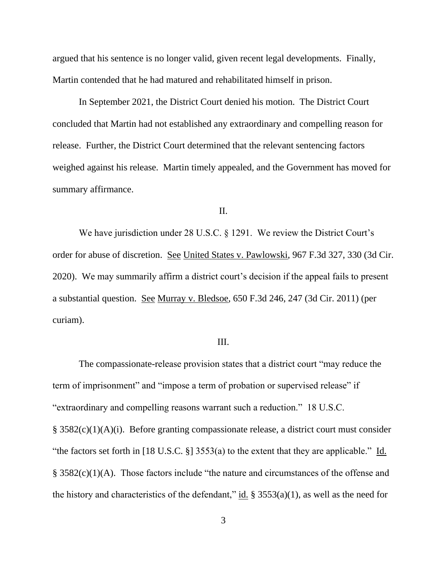argued that his sentence is no longer valid, given recent legal developments. Finally, Martin contended that he had matured and rehabilitated himself in prison.

In September 2021, the District Court denied his motion. The District Court concluded that Martin had not established any extraordinary and compelling reason for release. Further, the District Court determined that the relevant sentencing factors weighed against his release. Martin timely appealed, and the Government has moved for summary affirmance.

II.

We have jurisdiction under 28 U.S.C. § 1291. We review the District Court's order for abuse of discretion. See United States v. Pawlowski, 967 F.3d 327, 330 (3d Cir. 2020). We may summarily affirm a district court's decision if the appeal fails to present a substantial question. See Murray v. Bledsoe, 650 F.3d 246, 247 (3d Cir. 2011) (per curiam).

### III.

The compassionate-release provision states that a district court "may reduce the term of imprisonment" and "impose a term of probation or supervised release" if "extraordinary and compelling reasons warrant such a reduction." 18 U.S.C. § 3582(c)(1)(A)(i). Before granting compassionate release, a district court must consider "the factors set forth in [18 U.S.C.  $\S$ ] 3553(a) to the extent that they are applicable." Id. § 3582(c)(1)(A). Those factors include "the nature and circumstances of the offense and the history and characteristics of the defendant," id.  $\S 3553(a)(1)$ , as well as the need for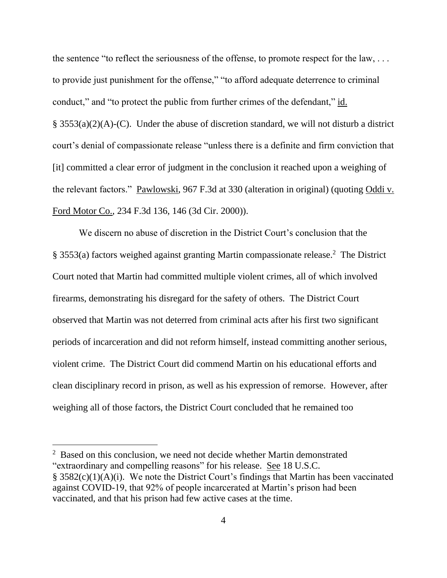the sentence "to reflect the seriousness of the offense, to promote respect for the law, . . . to provide just punishment for the offense," "to afford adequate deterrence to criminal conduct," and "to protect the public from further crimes of the defendant," id.  $\S$  3553(a)(2)(A)-(C). Under the abuse of discretion standard, we will not disturb a district court's denial of compassionate release "unless there is a definite and firm conviction that [it] committed a clear error of judgment in the conclusion it reached upon a weighing of the relevant factors." Pawlowski, 967 F.3d at 330 (alteration in original) (quoting Oddi v. Ford Motor Co., 234 F.3d 136, 146 (3d Cir. 2000)).

We discern no abuse of discretion in the District Court's conclusion that the § 3553(a) factors weighed against granting Martin compassionate release.<sup>2</sup> The District Court noted that Martin had committed multiple violent crimes, all of which involved firearms, demonstrating his disregard for the safety of others. The District Court observed that Martin was not deterred from criminal acts after his first two significant periods of incarceration and did not reform himself, instead committing another serious, violent crime. The District Court did commend Martin on his educational efforts and clean disciplinary record in prison, as well as his expression of remorse. However, after weighing all of those factors, the District Court concluded that he remained too

<sup>&</sup>lt;sup>2</sup> Based on this conclusion, we need not decide whether Martin demonstrated "extraordinary and compelling reasons" for his release. See 18 U.S.C.  $\S$  3582(c)(1)(A)(i). We note the District Court's findings that Martin has been vaccinated against COVID-19, that 92% of people incarcerated at Martin's prison had been vaccinated, and that his prison had few active cases at the time.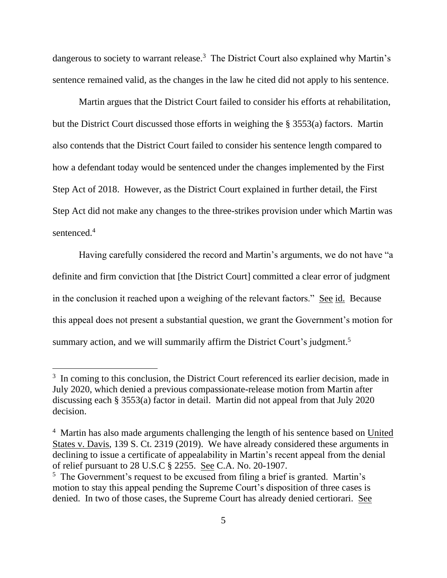dangerous to society to warrant release.<sup>3</sup> The District Court also explained why Martin's sentence remained valid, as the changes in the law he cited did not apply to his sentence.

Martin argues that the District Court failed to consider his efforts at rehabilitation, but the District Court discussed those efforts in weighing the § 3553(a) factors. Martin also contends that the District Court failed to consider his sentence length compared to how a defendant today would be sentenced under the changes implemented by the First Step Act of 2018. However, as the District Court explained in further detail, the First Step Act did not make any changes to the three-strikes provision under which Martin was sentenced.<sup>4</sup>

Having carefully considered the record and Martin's arguments, we do not have "a definite and firm conviction that [the District Court] committed a clear error of judgment in the conclusion it reached upon a weighing of the relevant factors." See id. Because this appeal does not present a substantial question, we grant the Government's motion for summary action, and we will summarily affirm the District Court's judgment.<sup>5</sup>

<sup>&</sup>lt;sup>3</sup> In coming to this conclusion, the District Court referenced its earlier decision, made in July 2020, which denied a previous compassionate-release motion from Martin after discussing each § 3553(a) factor in detail. Martin did not appeal from that July 2020 decision.

<sup>&</sup>lt;sup>4</sup> Martin has also made arguments challenging the length of his sentence based on United States v. Davis, 139 S. Ct. 2319 (2019). We have already considered these arguments in declining to issue a certificate of appealability in Martin's recent appeal from the denial of relief pursuant to 28 U.S.C § 2255. See C.A. No. 20-1907.

<sup>&</sup>lt;sup>5</sup> The Government's request to be excused from filing a brief is granted. Martin's motion to stay this appeal pending the Supreme Court's disposition of three cases is denied. In two of those cases, the Supreme Court has already denied certiorari. See